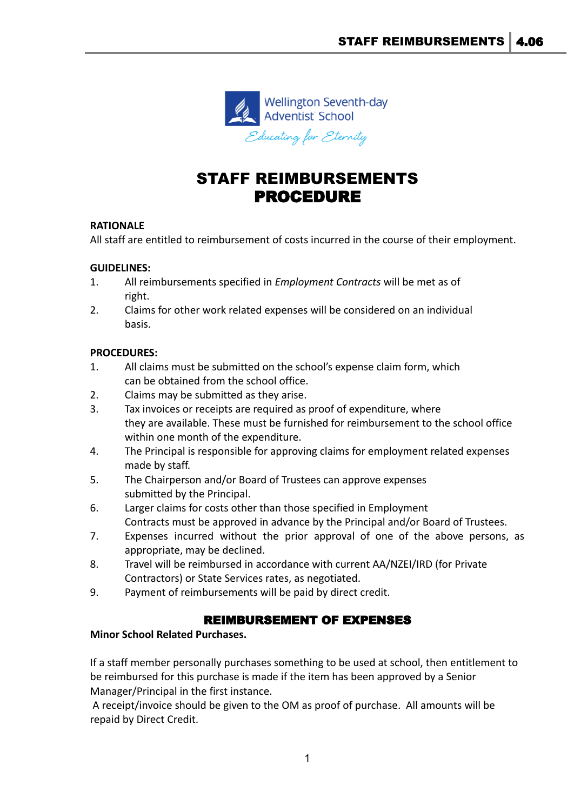

# STAFF REIMBURSEMENTS PROCEDURE

# **RATIONALE**

All staff are entitled to reimbursement of costs incurred in the course of their employment.

# **GUIDELINES:**

- 1. All reimbursements specified in *Employment Contracts* will be met as of right.
- 2. Claims for other work related expenses will be considered on an individual basis.

### **PROCEDURES:**

- 1. All claims must be submitted on the school's expense claim form, which can be obtained from the school office.
- 2. Claims may be submitted as they arise.
- 3. Tax invoices or receipts are required as proof of expenditure, where they are available. These must be furnished for reimbursement to the school office within one month of the expenditure.
- 4. The Principal is responsible for approving claims for employment related expenses made by staff.
- 5. The Chairperson and/or Board of Trustees can approve expenses submitted by the Principal.
- 6. Larger claims for costs other than those specified in Employment Contracts must be approved in advance by the Principal and/or Board of Trustees.
- 7. Expenses incurred without the prior approval of one of the above persons, as appropriate, may be declined.
- 8. Travel will be reimbursed in accordance with current AA/NZEI/IRD (for Private Contractors) or State Services rates, as negotiated.
- 9. Payment of reimbursements will be paid by direct credit.

# REIMBURSEMENT OF EXPENSES

### **Minor School Related Purchases.**

If a staff member personally purchases something to be used at school, then entitlement to be reimbursed for this purchase is made if the item has been approved by a Senior Manager/Principal in the first instance.

A receipt/invoice should be given to the OM as proof of purchase. All amounts will be repaid by Direct Credit.